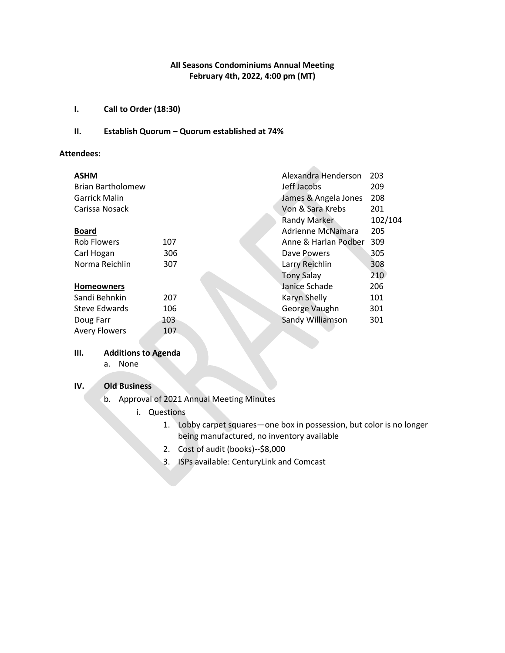# **All Seasons Condominiums Annual Meeting February 4th, 2022, 4:00 pm (MT)**

# **I. Call to Order (18:30)**

#### **II. Establish Quorum – Quorum established at 74%**

#### **Attendees:**

| <b>ASHM</b>              |     | Alexandra Henderson  | 203     |
|--------------------------|-----|----------------------|---------|
| <b>Brian Bartholomew</b> |     | Jeff Jacobs          | 209     |
| Garrick Malin            |     | James & Angela Jones | 208     |
| Carissa Nosack           |     | Von & Sara Krebs     | 201     |
|                          |     | Randy Marker         | 102/104 |
| <b>Board</b>             |     | Adrienne McNamara    | 205     |
| <b>Rob Flowers</b>       | 107 | Anne & Harlan Podber | 309     |
| Carl Hogan               | 306 | Dave Powers          | 305     |
| Norma Reichlin           | 307 | Larry Reichlin       | 308     |
|                          |     | <b>Tony Salay</b>    | 210     |
| <b>Homeowners</b>        |     | Janice Schade        | 206     |
| Sandi Behnkin            | 207 | Karyn Shelly         | 101     |
| Steve Edwards            | 106 | George Vaughn        | 301     |
| Doug Farr                | 103 | Sandy Williamson     | 301     |
| <b>Avery Flowers</b>     | 107 |                      |         |

### **III. Additions to Agenda**

a. None

## **IV. Old Business**

- b. Approval of 2021 Annual Meeting Minutes
	- i. Questions
		- 1. Lobby carpet squares—one box in possession, but color is no longer being manufactured, no inventory available
		- 2. Cost of audit (books)--\$8,000
		- 3. ISPs available: CenturyLink and Comcast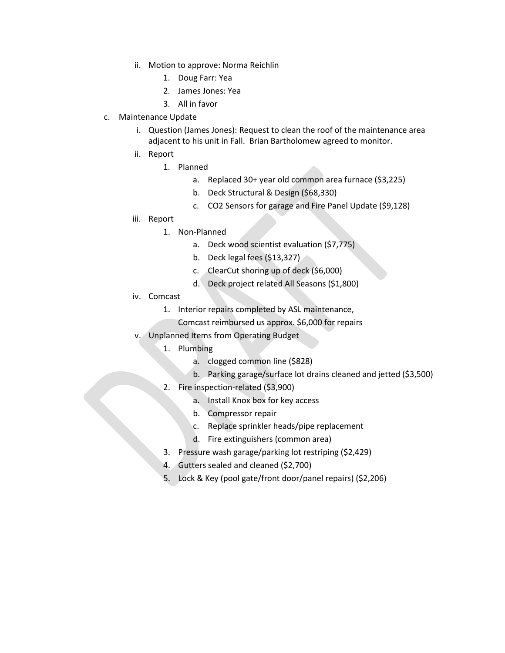- ii. Motion to approve: Norma Reichlin
	- 1. Doug Farr: Yea
	- 2. James Jones: Yea
	- 3. All in favor
- c. Maintenance Update
	- i. Question (James Jones): Request to clean the roof of the maintenance area adjacent to his unit in Fall. Brian Bartholomew agreed to monitor.
	- ii. Report
		- 1. Planned
			- a. Replaced 30+ year old common area furnace (\$3,225)
			- b. Deck Structural & Design (\$68,330)
			- c. CO2 Sensors for garage and Fire Panel Update (\$9,128)

### iii. Report

- 1. Non-Planned
	- a. Deck wood scientist evaluation (\$7,775)
	- b. Deck legal fees (\$13,327)
	- c. ClearCut shoring up of deck (\$6,000)
	- d. Deck project related All Seasons (\$1,800)
- iv. Comcast
	- 1. Interior repairs completed by ASL maintenance,
		- Comcast reimbursed us approx. \$6,000 for repairs
- v. Unplanned Items from Operating Budget
	- 1. Plumbing
		- a. clogged common line (\$828)
		- b. Parking garage/surface lot drains cleaned and jetted (\$3,500)
	- 2. Fire inspection-related (\$3,900)
		- a. Install Knox box for key access
		- b. Compressor repair
		- c. Replace sprinkler heads/pipe replacement
		- d. Fire extinguishers (common area)
	- 3. Pressure wash garage/parking lot restriping (\$2,429)
	- 4. Gutters sealed and cleaned (\$2,700)
	- 5. Lock & Key (pool gate/front door/panel repairs) (\$2,206)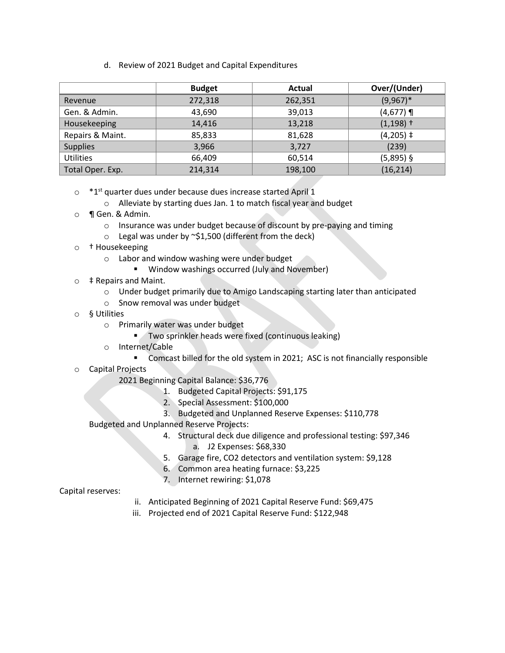d. Review of 2021 Budget and Capital Expenditures

|                  | <b>Budget</b> | <b>Actual</b> | Over/(Under) |
|------------------|---------------|---------------|--------------|
| Revenue          | 272,318       | 262,351       | $(9,967)*$   |
| Gen. & Admin.    | 43,690        | 39,013        | $(4,677)$ ¶  |
| Housekeeping     | 14,416        | 13,218        | $(1,198)$ +  |
| Repairs & Maint. | 85,833        | 81,628        | $(4,205)$ ‡  |
| <b>Supplies</b>  | 3,966         | 3,727         | (239)        |
| <b>Utilities</b> | 66,409        | 60,514        | $(5,895)$ §  |
| Total Oper. Exp. | 214,314       | 198,100       | (16, 214)    |

- $\circ$  \*1<sup>st</sup> quarter dues under because dues increase started April 1
	- o Alleviate by starting dues Jan. 1 to match fiscal year and budget
- o ¶ Gen. & Admin.
	- o Insurance was under budget because of discount by pre-paying and timing
	- $\circ$  Legal was under by  $\sim$ \$1,500 (different from the deck)
- o † Housekeeping
	- o Labor and window washing were under budget
		- **Window washings occurred (July and November)**
- o ‡ Repairs and Maint.
	- $\circ$  Under budget primarily due to Amigo Landscaping starting later than anticipated
	- o Snow removal was under budget
- o § Utilities
	- o Primarily water was under budget
		- **Two sprinkler heads were fixed (continuous leaking)**
	- o Internet/Cable
		- **Comcast billed for the old system in 2021; ASC is not financially responsible**
- o Capital Projects

### 2021 Beginning Capital Balance: \$36,776

- 1. Budgeted Capital Projects: \$91,175
- 2. Special Assessment: \$100,000
- 3. Budgeted and Unplanned Reserve Expenses: \$110,778
- Budgeted and Unplanned Reserve Projects:
	- 4. Structural deck due diligence and professional testing: \$97,346
		- a. J2 Expenses: \$68,330
		- 5. Garage fire, CO2 detectors and ventilation system: \$9,128
		- 6. Common area heating furnace: \$3,225
		- 7. Internet rewiring: \$1,078

Capital reserves:

- ii. Anticipated Beginning of 2021 Capital Reserve Fund: \$69,475
- iii. Projected end of 2021 Capital Reserve Fund: \$122,948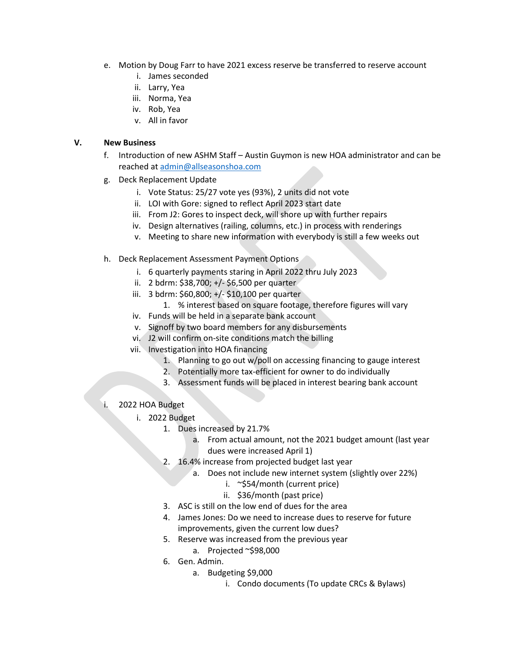- e. Motion by Doug Farr to have 2021 excess reserve be transferred to reserve account
	- i. James seconded
	- ii. Larry, Yea
	- iii. Norma, Yea
	- iv. Rob, Yea
	- v. All in favor

## **V. New Business**

- f. Introduction of new ASHM Staff Austin Guymon is new HOA administrator and can be reached at [admin@allseasonshoa.com](mailto:admin@allseasonshoa.com)
- g. Deck Replacement Update
	- i. Vote Status: 25/27 vote yes (93%), 2 units did not vote
	- ii. LOI with Gore: signed to reflect April 2023 start date
	- iii. From J2: Gores to inspect deck, will shore up with further repairs
	- iv. Design alternatives (railing, columns, etc.) in process with renderings
	- v. Meeting to share new information with everybody is still a few weeks out
- h. Deck Replacement Assessment Payment Options
	- i. 6 quarterly payments staring in April 2022 thru July 2023
	- ii. 2 bdrm: \$38,700; +/- \$6,500 per quarter
	- iii. 3 bdrm: \$60,800; +/- \$10,100 per quarter
		- 1. % interest based on square footage, therefore figures will vary
	- iv. Funds will be held in a separate bank account
	- v. Signoff by two board members for any disbursements
	- vi. J2 will confirm on-site conditions match the billing
	- vii. Investigation into HOA financing
		- 1. Planning to go out w/poll on accessing financing to gauge interest
		- 2. Potentially more tax-efficient for owner to do individually
		- 3. Assessment funds will be placed in interest bearing bank account
- 2022 HOA Budget
	- i. 2022 Budget
		- 1. Dues increased by 21.7%
			- a. From actual amount, not the 2021 budget amount (last year dues were increased April 1)
		- 2. 16.4% increase from projected budget last year
			- a. Does not include new internet system (slightly over 22%)
				- i. ~\$54/month (current price)
				- ii. \$36/month (past price)
		- 3. ASC is still on the low end of dues for the area
		- 4. James Jones: Do we need to increase dues to reserve for future improvements, given the current low dues?
		- 5. Reserve was increased from the previous year
			- a. Projected ~\$98,000
		- 6. Gen. Admin.
			- a. Budgeting \$9,000
				- i. Condo documents (To update CRCs & Bylaws)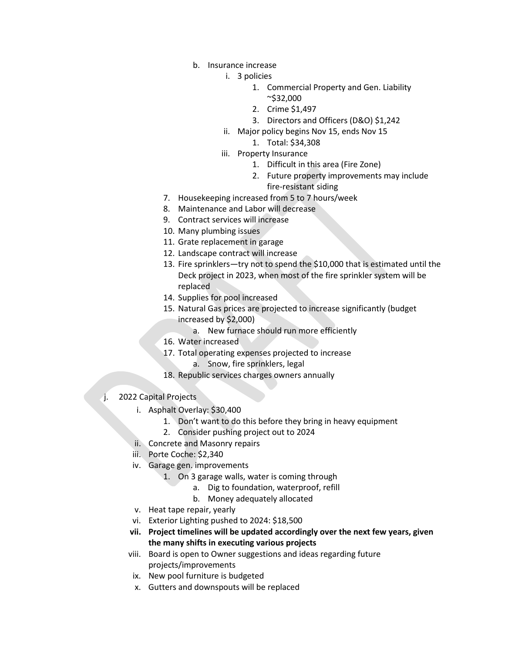- b. Insurance increase
	- i. 3 policies
		- 1. Commercial Property and Gen. Liability  $\sim$ \$32,000
		- 2. Crime \$1,497
		- 3. Directors and Officers (D&O) \$1,242
		- ii. Major policy begins Nov 15, ends Nov 15
			- 1. Total: \$34,308
	- iii. Property Insurance
		- 1. Difficult in this area (Fire Zone)
		- 2. Future property improvements may include fire-resistant siding
- 7. Housekeeping increased from 5 to 7 hours/week
- 8. Maintenance and Labor will decrease
- 9. Contract services will increase
- 10. Many plumbing issues
- 11. Grate replacement in garage
- 12. Landscape contract will increase
- 13. Fire sprinklers—try not to spend the \$10,000 that is estimated until the Deck project in 2023, when most of the fire sprinkler system will be replaced
- 14. Supplies for pool increased
- 15. Natural Gas prices are projected to increase significantly (budget increased by \$2,000)
	- a. New furnace should run more efficiently
- 16. Water increased
- 17. Total operating expenses projected to increase
	- a. Snow, fire sprinklers, legal
- 18. Republic services charges owners annually
- j. 2022 Capital Projects
	- i. Asphalt Overlay: \$30,400
		- 1. Don't want to do this before they bring in heavy equipment
		- 2. Consider pushing project out to 2024
	- ii. Concrete and Masonry repairs
	- iii. Porte Coche: \$2,340
	- iv. Garage gen. improvements
		- 1. On 3 garage walls, water is coming through
			- a. Dig to foundation, waterproof, refill
			- b. Money adequately allocated
	- v. Heat tape repair, yearly
	- vi. Exterior Lighting pushed to 2024: \$18,500
	- **vii. Project timelines will be updated accordingly over the next few years, given the many shifts in executing various projects**
	- viii. Board is open to Owner suggestions and ideas regarding future projects/improvements
	- ix. New pool furniture is budgeted
	- x. Gutters and downspouts will be replaced